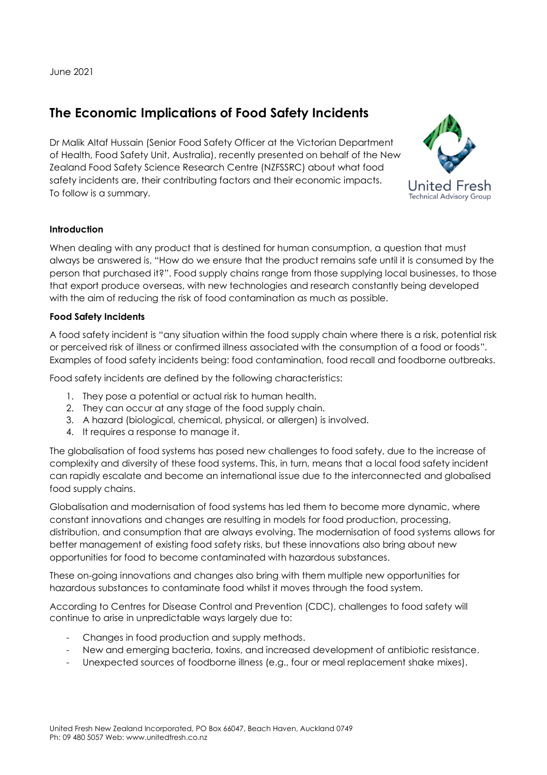June 2021

## **The Economic Implications of Food Safety Incidents**

Dr Malik Altaf Hussain (Senior Food Safety Officer at the Victorian Department of Health, Food Safety Unit, Australia), recently presented on behalf of the New Zealand Food Safety Science Research Centre (NZFSSRC) about what food safety incidents are, their contributing factors and their economic impacts. To follow is a summary.



## **Introduction**

When dealing with any product that is destined for human consumption, a question that must always be answered is, "How do we ensure that the product remains safe until it is consumed by the person that purchased it?". Food supply chains range from those supplying local businesses, to those that export produce overseas, with new technologies and research constantly being developed with the aim of reducing the risk of food contamination as much as possible.

## **Food Safety Incidents**

A food safety incident is "any situation within the food supply chain where there is a risk, potential risk or perceived risk of illness or confirmed illness associated with the consumption of a food or foods". Examples of food safety incidents being: food contamination, food recall and foodborne outbreaks.

Food safety incidents are defined by the following characteristics:

- 1. They pose a potential or actual risk to human health.
- 2. They can occur at any stage of the food supply chain.
- 3. A hazard (biological, chemical, physical, or allergen) is involved.
- 4. It requires a response to manage it.

The globalisation of food systems has posed new challenges to food safety, due to the increase of complexity and diversity of these food systems. This, in turn, means that a local food safety incident can rapidly escalate and become an international issue due to the interconnected and globalised food supply chains.

Globalisation and modernisation of food systems has led them to become more dynamic, where constant innovations and changes are resulting in models for food production, processing, distribution, and consumption that are always evolving. The modernisation of food systems allows for better management of existing food safety risks, but these innovations also bring about new opportunities for food to become contaminated with hazardous substances.

These on-going innovations and changes also bring with them multiple new opportunities for hazardous substances to contaminate food whilst it moves through the food system.

According to Centres for Disease Control and Prevention (CDC), challenges to food safety will continue to arise in unpredictable ways largely due to:

- Changes in food production and supply methods.
- New and emerging bacteria, toxins, and increased development of antibiotic resistance.
- Unexpected sources of foodborne illness (e.g., four or meal replacement shake mixes).